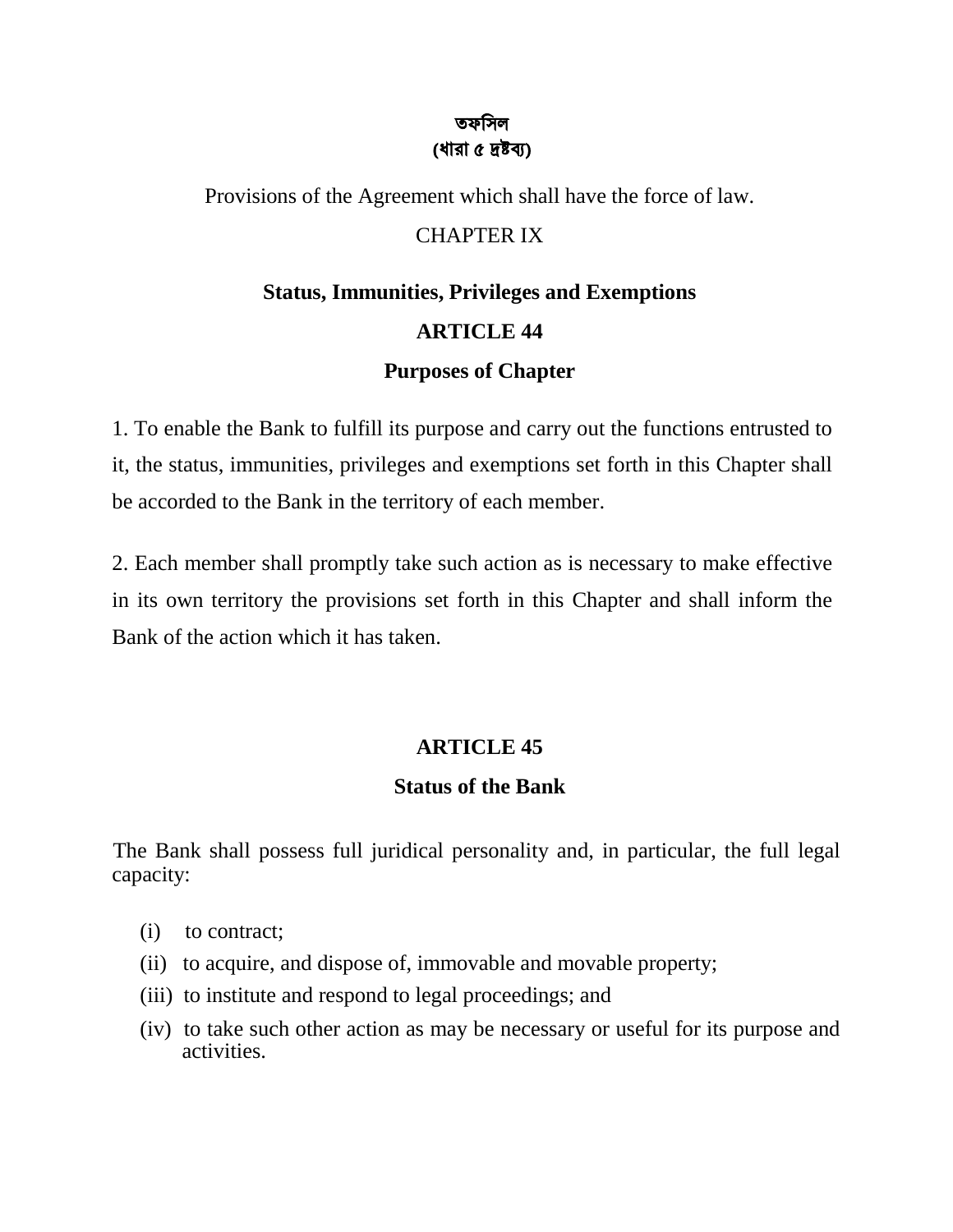#### তফিসল (ধারা ৫ ���)

Provisions of the Agreement which shall have the force of law.

## CHAPTER IX

# **Status, Immunities, Privileges and Exemptions ARTICLE 44 Purposes of Chapter**

1. To enable the Bank to fulfill its purpose and carry out the functions entrusted to it, the status, immunities, privileges and exemptions set forth in this Chapter shall be accorded to the Bank in the territory of each member.

2. Each member shall promptly take such action as is necessary to make effective in its own territory the provisions set forth in this Chapter and shall inform the Bank of the action which it has taken.

## **ARTICLE 45**

## **Status of the Bank**

The Bank shall possess full juridical personality and, in particular, the full legal capacity:

- (i) to contract;
- (ii) to acquire, and dispose of, immovable and movable property;
- (iii) to institute and respond to legal proceedings; and
- (iv) to take such other action as may be necessary or useful for its purpose and activities.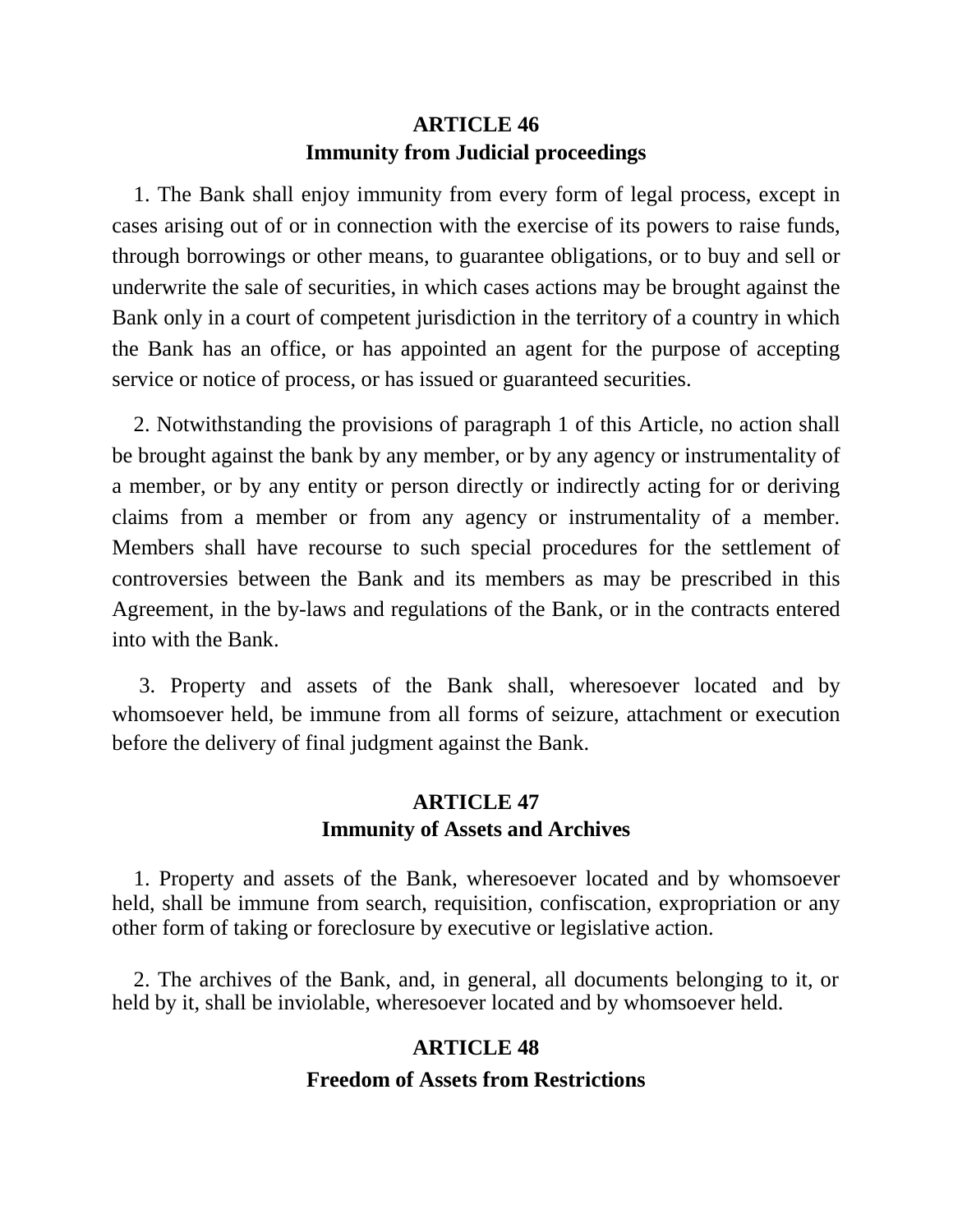## **ARTICLE 46 Immunity from Judicial proceedings**

 1. The Bank shall enjoy immunity from every form of legal process, except in cases arising out of or in connection with the exercise of its powers to raise funds, through borrowings or other means, to guarantee obligations, or to buy and sell or underwrite the sale of securities, in which cases actions may be brought against the Bank only in a court of competent jurisdiction in the territory of a country in which the Bank has an office, or has appointed an agent for the purpose of accepting service or notice of process, or has issued or guaranteed securities.

 2. Notwithstanding the provisions of paragraph 1 of this Article, no action shall be brought against the bank by any member, or by any agency or instrumentality of a member, or by any entity or person directly or indirectly acting for or deriving claims from a member or from any agency or instrumentality of a member. Members shall have recourse to such special procedures for the settlement of controversies between the Bank and its members as may be prescribed in this Agreement, in the by-laws and regulations of the Bank, or in the contracts entered into with the Bank.

 3. Property and assets of the Bank shall, wheresoever located and by whomsoever held, be immune from all forms of seizure, attachment or execution before the delivery of final judgment against the Bank.

## **ARTICLE 47 Immunity of Assets and Archives**

 1. Property and assets of the Bank, wheresoever located and by whomsoever held, shall be immune from search, requisition, confiscation, expropriation or any other form of taking or foreclosure by executive or legislative action.

 2. The archives of the Bank, and, in general, all documents belonging to it, or held by it, shall be inviolable, wheresoever located and by whomsoever held.

#### **ARTICLE 48**

#### **Freedom of Assets from Restrictions**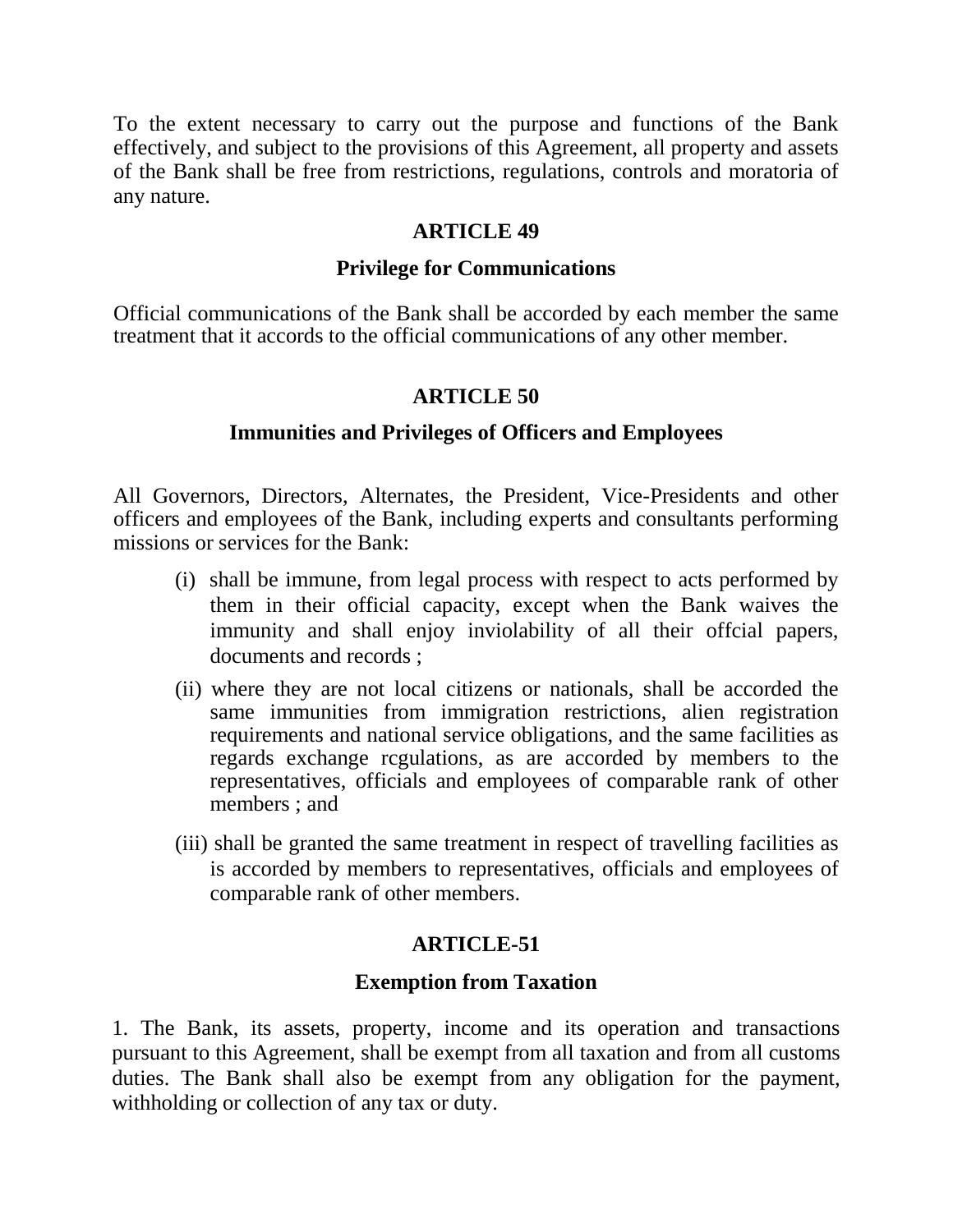To the extent necessary to carry out the purpose and functions of the Bank effectively, and subject to the provisions of this Agreement, all property and assets of the Bank shall be free from restrictions, regulations, controls and moratoria of any nature.

#### **ARTICLE 49**

#### **Privilege for Communications**

Official communications of the Bank shall be accorded by each member the same treatment that it accords to the official communications of any other member.

#### **ARTICLE 50**

#### **Immunities and Privileges of Officers and Employees**

All Governors, Directors, Alternates, the President, Vice-Presidents and other officers and employees of the Bank, including experts and consultants performing missions or services for the Bank:

- (i) shall be immune, from legal process with respect to acts performed by them in their official capacity, except when the Bank waives the immunity and shall enjoy inviolability of all their offcial papers, documents and records ;
- (ii) where they are not local citizens or nationals, shall be accorded the same immunities from immigration restrictions, alien registration requirements and national service obligations, and the same facilities as regards exchange rcgulations, as are accorded by members to the representatives, officials and employees of comparable rank of other members ; and
- (iii) shall be granted the same treatment in respect of travelling facilities as is accorded by members to representatives, officials and employees of comparable rank of other members.

## **ARTICLE-51**

#### **Exemption from Taxation**

1. The Bank, its assets, property, income and its operation and transactions pursuant to this Agreement, shall be exempt from all taxation and from all customs duties. The Bank shall also be exempt from any obligation for the payment, withholding or collection of any tax or duty.